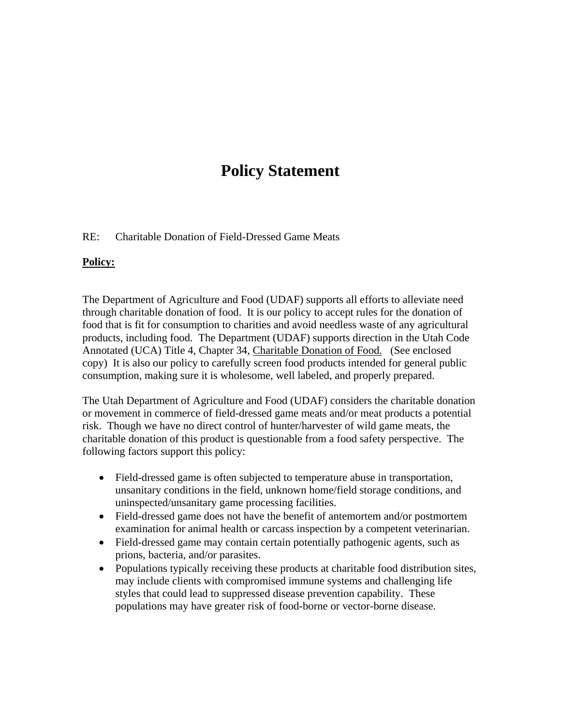## **Policy Statement**

## RE: Charitable Donation of Field-Dressed Game Meats

## **Policy:**

The Department of Agriculture and Food (UDAF) supports all efforts to alleviate need through charitable donation of food. It is our policy to accept rules for the donation of food that is fit for consumption to charities and avoid needless waste of any agricultural products, including food. The Department (UDAF) supports direction in the Utah Code Annotated (UCA) Title 4, Chapter 34, Charitable Donation of Food. (See enclosed copy) It is also our policy to carefully screen food products intended for general public consumption, making sure it is wholesome, well labeled, and properly prepared.

The Utah Department of Agriculture and Food (UDAF) considers the charitable donation or movement in commerce of field-dressed game meats and/or meat products a potential risk. Though we have no direct control of hunter/harvester of wild game meats, the charitable donation of this product is questionable from a food safety perspective. The following factors support this policy:

- Field-dressed game is often subjected to temperature abuse in transportation, unsanitary conditions in the field, unknown home/field storage conditions, and uninspected/unsanitary game processing facilities.
- Field-dressed game does not have the benefit of antemortem and/or postmortem examination for animal health or carcass inspection by a competent veterinarian.
- Field-dressed game may contain certain potentially pathogenic agents, such as prions, bacteria, and/or parasites.
- Populations typically receiving these products at charitable food distribution sites, may include clients with compromised immune systems and challenging life styles that could lead to suppressed disease prevention capability. These populations may have greater risk of food-borne or vector-borne disease.